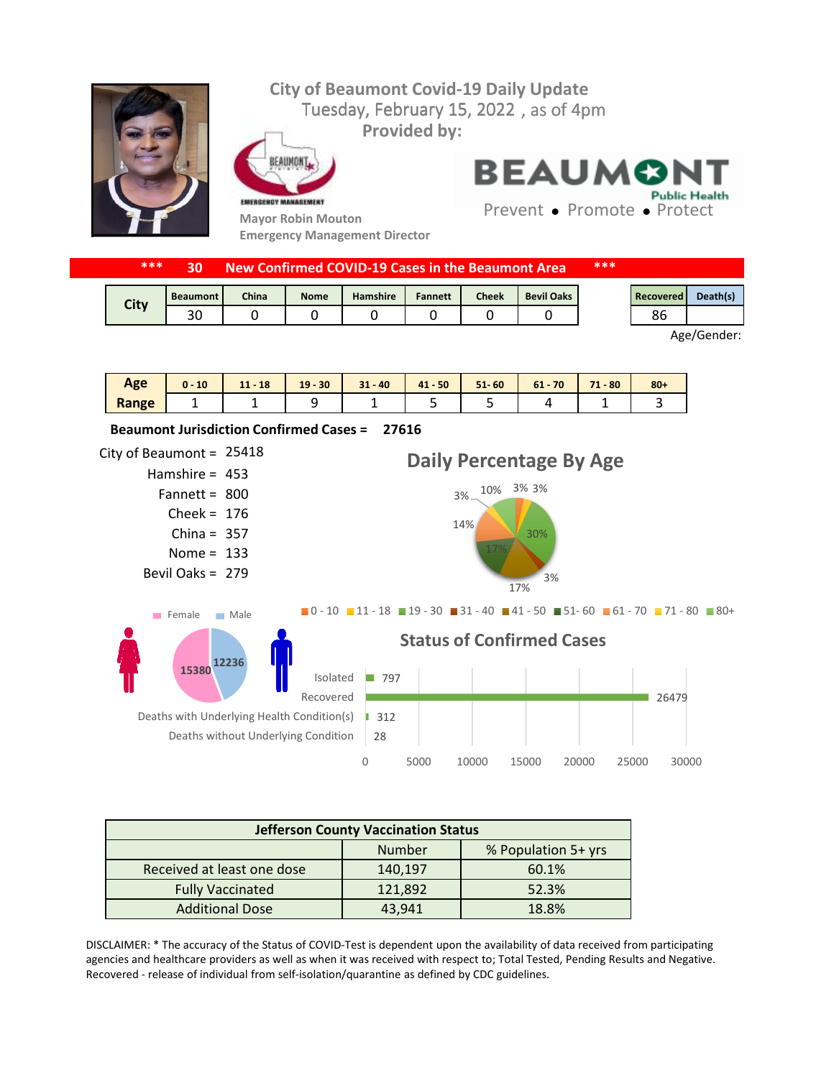## **City of Beaumont Covid-19 Daily Update** Tuesday, February 15, 2022, as of 4pm **Provided by:** FAIIMON **BEAUMON Public Health** EMERGENCY MANAGEMENT Prevent • Promote • Protect **Mayor Robin Mouton Emergency Management Director**

|  | ***         | 30              |              |             | New Confirmed COVID-19 Cases in the Beaumont Area |                |              |                   | *** |                  |          |
|--|-------------|-----------------|--------------|-------------|---------------------------------------------------|----------------|--------------|-------------------|-----|------------------|----------|
|  | <b>City</b> | <b>Beaumont</b> | <b>China</b> | <b>Nome</b> | <b>Hamshire</b>                                   | <b>Fannett</b> | <b>Cheek</b> | <b>Bevil Oaks</b> |     | <b>Recovered</b> | Death(s) |
|  |             | 30              |              |             |                                                   |                |              |                   |     | 86               |          |
|  |             |                 |              |             |                                                   | Age/Gender:    |              |                   |     |                  |          |

| Age   | 10 | $11 - 18$ | $19 - 30$ | $31 - 40$ | $41 - 50$ | $51 - 60$ | $61 - 70$ | 74<br>$1 - 80$ | $80 +$ |
|-------|----|-----------|-----------|-----------|-----------|-----------|-----------|----------------|--------|
| Range |    |           |           |           |           |           |           |                |        |



| <b>Jefferson County Vaccination Status</b> |         |       |  |  |  |
|--------------------------------------------|---------|-------|--|--|--|
| % Population 5+ yrs<br>Number              |         |       |  |  |  |
| Received at least one dose                 | 140,197 | 60.1% |  |  |  |
| <b>Fully Vaccinated</b>                    | 121,892 | 52.3% |  |  |  |
| <b>Additional Dose</b>                     | 43.941  | 18.8% |  |  |  |

DISCLAIMER: \* The accuracy of the Status of COVID-Test is dependent upon the availability of data received from participating agencies and healthcare providers as well as when it was received with respect to; Total Tested, Pending Results and Negative. Recovered - release of individual from self-isolation/quarantine as defined by CDC guidelines.